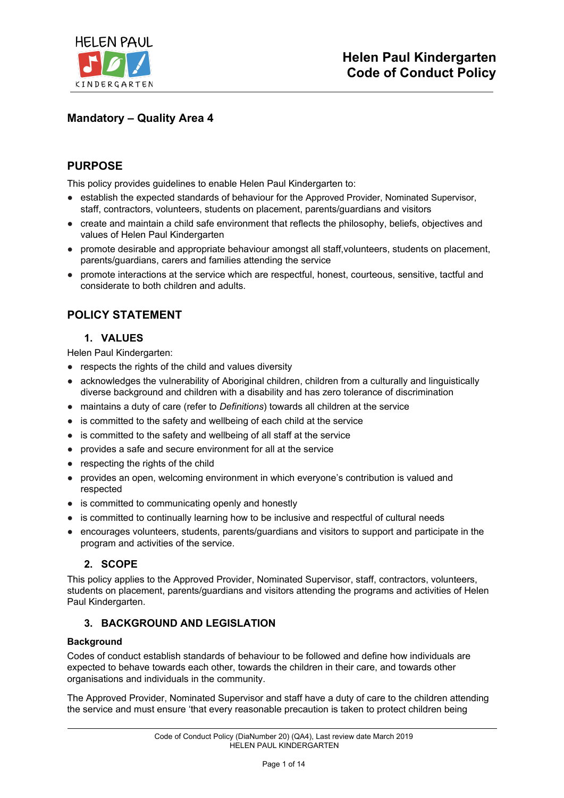

# **Mandatory – Quality Area 4**

## **PURPOSE**

This policy provides guidelines to enable Helen Paul Kindergarten to:

- establish the expected standards of behaviour for the Approved Provider, Nominated Supervisor, staff, contractors, volunteers, students on placement, parents/guardians and visitors
- create and maintain a child safe environment that reflects the philosophy, beliefs, objectives and values of Helen Paul Kindergarten
- promote desirable and appropriate behaviour amongst all staff,volunteers, students on placement, parents/guardians, carers and families attending the service
- promote interactions at the service which are respectful, honest, courteous, sensitive, tactful and considerate to both children and adults.

## **POLICY STATEMENT**

## **1. VALUES**

Helen Paul Kindergarten:

- respects the rights of the child and values diversity
- acknowledges the vulnerability of Aboriginal children, children from a culturally and linguistically diverse background and children with a disability and has zero tolerance of discrimination
- maintains a duty of care (refer to *Definitions*) towards all children at the service
- is committed to the safety and wellbeing of each child at the service
- is committed to the safety and wellbeing of all staff at the service
- provides a safe and secure environment for all at the service
- respecting the rights of the child
- provides an open, welcoming environment in which everyone's contribution is valued and respected
- is committed to communicating openly and honestly
- is committed to continually learning how to be inclusive and respectful of cultural needs
- encourages volunteers, students, parents/guardians and visitors to support and participate in the program and activities of the service.

### **2. SCOPE**

This policy applies to the Approved Provider, Nominated Supervisor, staff, contractors, volunteers, students on placement, parents/guardians and visitors attending the programs and activities of Helen Paul Kindergarten.

#### **3. BACKGROUND AND LEGISLATION**

#### **Background**

Codes of conduct establish standards of behaviour to be followed and define how individuals are expected to behave towards each other, towards the children in their care, and towards other organisations and individuals in the community.

The Approved Provider, Nominated Supervisor and staff have a duty of care to the children attending the service and must ensure 'that every reasonable precaution is taken to protect children being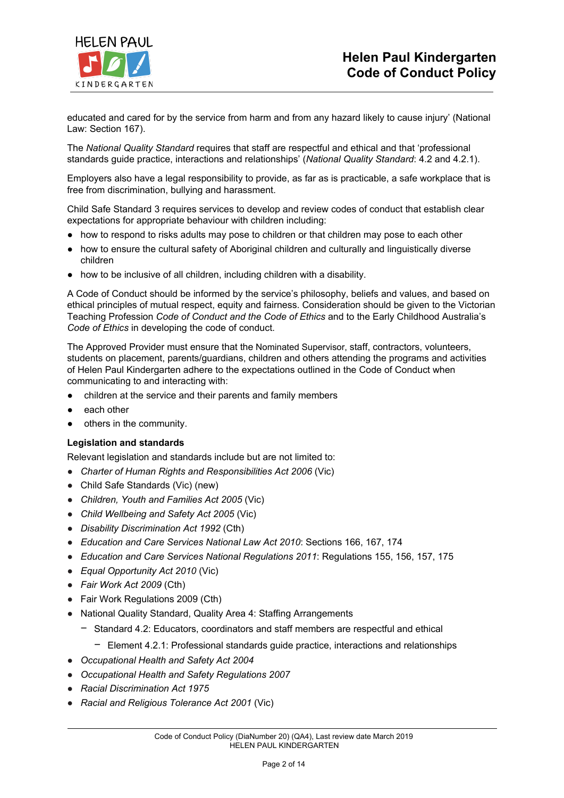

educated and cared for by the service from harm and from any hazard likely to cause injury' (National Law: Section 167).

The *National Quality Standard* requires that staff are respectful and ethical and that 'professional standards guide practice, interactions and relationships' (*National Quality Standard*: 4.2 and 4.2.1).

Employers also have a legal responsibility to provide, as far as is practicable, a safe workplace that is free from discrimination, bullying and harassment.

Child Safe Standard 3 requires services to develop and review codes of conduct that establish clear expectations for appropriate behaviour with children including:

- how to respond to risks adults may pose to children or that children may pose to each other
- how to ensure the cultural safety of Aboriginal children and culturally and linguistically diverse children
- how to be inclusive of all children, including children with a disability.

A Code of Conduct should be informed by the service's philosophy, beliefs and values, and based on ethical principles of mutual respect, equity and fairness. Consideration should be given to the Victorian Teaching Profession *Code of Conduct and the Code of Ethics* and to the Early Childhood Australia's *Code of Ethics* in developing the code of conduct.

The Approved Provider must ensure that the Nominated Supervisor, staff, contractors, volunteers, students on placement, parents/guardians, children and others attending the programs and activities of Helen Paul Kindergarten adhere to the expectations outlined in the Code of Conduct when communicating to and interacting with:

- children at the service and their parents and family members
- each other
- others in the community.

#### **Legislation and standards**

Relevant legislation and standards include but are not limited to:

- *Charter of Human Rights and [Responsibilities](http://www.legislation.vic.gov.au/Domino/Web_Notes/LDMS/PubStatbook.nsf/f932b66241ecf1b7ca256e92000e23be/54d73763ef9dca36ca2571b6002428b0!OpenDocument) Act 2006* [\(Vic\)](http://www.legislation.vic.gov.au/Domino/Web_Notes/LDMS/PubStatbook.nsf/f932b66241ecf1b7ca256e92000e23be/54d73763ef9dca36ca2571b6002428b0!OpenDocument)
- Child Safe Standards (Vic) (new)
- *Children, Youth and Families Act 2005* (Vic)
- *Child Wellbeing and Safety Act 2005* (Vic)
- *Disability Discrimination Act 1992* (Cth)
- *Education and Care Services National Law Act 2010*: Sections 166, 167, 174
- *Education and Care Services National Regulations 2011*: Regulations 155, 156, 157, 175
- *Equal Opportunity Act 2010* (Vic)
- *Fair Work Act 2009* (Cth)
- Fair Work Regulations 2009 (Cth)
- National Quality Standard, Quality Area 4: Staffing Arrangements
	- − Standard 4.2: Educators, coordinators and staff members are respectful and ethical
		- − Element 4.2.1: Professional standards guide practice, interactions and relationships
- *Occupational Health and Safety Act 2004*
- *Occupational Health and Safety Regulations 2007*
- *Racial Discrimination Act 1975*
- *Racial and Religious [Tolerance](http://www.legislation.vic.gov.au/Domino/Web_Notes/LDMS/PubLawToday.nsf/a12f6f60fbd56800ca256de500201e54/ab66aeef028f70e7ca2576400082797c%21OpenDocument) Act 2001* (Vic)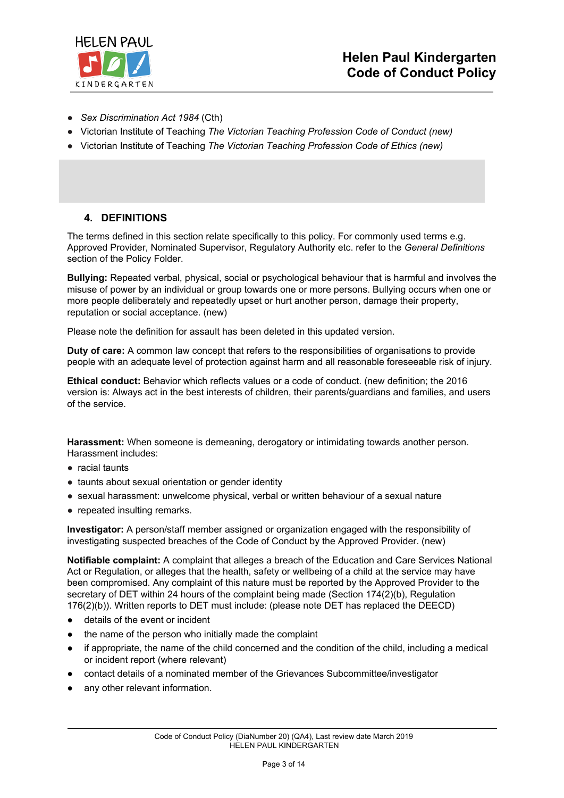

- *Sex Discrimination Act 1984* (Cth)
- Victorian Institute of Teaching *The Victorian Teaching Profession Code of Conduct (new)*
- Victorian Institute of Teaching *The Victorian Teaching Profession Code of Ethics (new)*

#### **4. DEFINITIONS**

The terms defined in this section relate specifically to this policy. For commonly used terms e.g. Approved Provider, Nominated Supervisor, Regulatory Authority etc. refer to the *General Definitions* section of the Policy Folder.

**Bullying:** Repeated verbal, physical, social or psychological behaviour that is harmful and involves the misuse of power by an individual or group towards one or more persons. Bullying occurs when one or more people deliberately and repeatedly upset or hurt another person, damage their property, reputation or social acceptance. (new)

Please note the definition for assault has been deleted in this updated version.

**Duty of care:** A common law concept that refers to the responsibilities of organisations to provide people with an adequate level of protection against harm and all reasonable foreseeable risk of injury.

**Ethical conduct:** Behavior which reflects values or a code of conduct. (new definition; the 2016 version is: Always act in the best interests of children, their parents/guardians and families, and users of the service.

**Harassment:** When someone is demeaning, derogatory or intimidating towards another person. Harassment includes:

- racial taunts
- taunts about sexual orientation or gender identity
- sexual harassment: unwelcome physical, verbal or written behaviour of a sexual nature
- repeated insulting remarks.

**Investigator:** A person/staff member assigned or organization engaged with the responsibility of investigating suspected breaches of the Code of Conduct by the Approved Provider. (new)

**Notifiable complaint:** A complaint that alleges a breach of the Education and Care Services National Act or Regulation, or alleges that the health, safety or wellbeing of a child at the service may have been compromised. Any complaint of this nature must be reported by the Approved Provider to the secretary of DET within 24 hours of the complaint being made (Section 174(2)(b), Regulation 176(2)(b)). Written reports to DET must include: (please note DET has replaced the DEECD)

- details of the event or incident
- the name of the person who initially made the complaint
- if appropriate, the name of the child concerned and the condition of the child, including a medical or incident report (where relevant)
- contact details of a nominated member of the Grievances Subcommittee/investigator
- any other relevant information.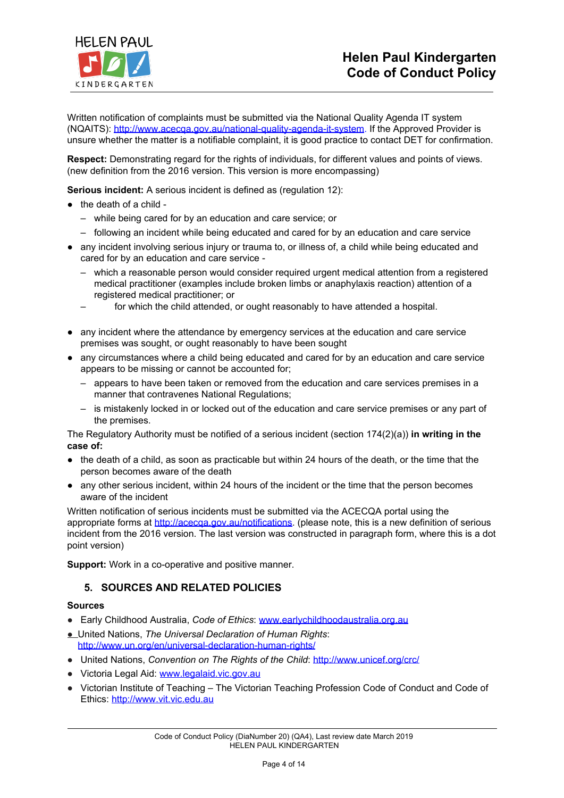

Written notification of complaints must be submitted via the National Quality Agenda IT system (NQAITS): <http://www.acecqa.gov.au/national-quality-agenda-it-system>. If the Approved Provider is unsure whether the matter is a notifiable complaint, it is good practice to contact DET for confirmation.

**Respect:** Demonstrating regard for the rights of individuals, for different values and points of views. (new definition from the 2016 version. This version is more encompassing)

**Serious incident:** A serious incident is defined as (regulation 12):

- the death of a child
	- while being cared for by an education and care service; or
	- following an incident while being educated and cared for by an education and care service
- any incident involving serious injury or trauma to, or illness of, a child while being educated and cared for by an education and care service -
	- which a reasonable person would consider required urgent medical attention from a registered medical practitioner (examples include broken limbs or anaphylaxis reaction) attention of a registered medical practitioner; or
	- for which the child attended, or ought reasonably to have attended a hospital.
- any incident where the attendance by emergency services at the education and care service premises was sought, or ought reasonably to have been sought
- any circumstances where a child being educated and cared for by an education and care service appears to be missing or cannot be accounted for;
	- appears to have been taken or removed from the education and care services premises in a manner that contravenes National Regulations;
	- is mistakenly locked in or locked out of the education and care service premises or any part of the premises.

The Regulatory Authority must be notified of a serious incident (section 174(2)(a)) **in writing in the case of:**

- the death of a child, as soon as practicable but within 24 hours of the death, or the time that the person becomes aware of the death
- any other serious incident, within 24 hours of the incident or the time that the person becomes aware of the incident

Written notification of serious incidents must be submitted via the ACECQA portal using the appropriate forms at [http://acecqa.gov.au/notifications.](http://acecqa.gov.au/notifications) (please note, this is a new definition of serious incident from the 2016 version. The last version was constructed in paragraph form, where this is a dot point version)

**Support:** Work in a co-operative and positive manner.

### **5. SOURCES AND RELATED POLICIES**

#### **Sources**

- Early Childhood Australia, *Code of Ethics*: [www.earlychildhoodaustralia.org.au](http://www.earlychildhoodaustralia.org.au/)
- United Nations, *The Universal Declaration of Human Rights*: <http://www.un.org/en/universal-declaration-human-rights/>
- United Nations, *Convention on The Rights of the Child: <http://www.unicef.org/crc/>*
- Victoria Legal Aid: [www.legalaid.vic.gov.au](http://www.legalaid.vic.gov.au/)
- Victorian Institute of Teaching The Victorian Teaching Profession Code of Conduct and Code of Ethics: [http://www.vit.vic.edu.au](http://www.vit.vic.edu.au/)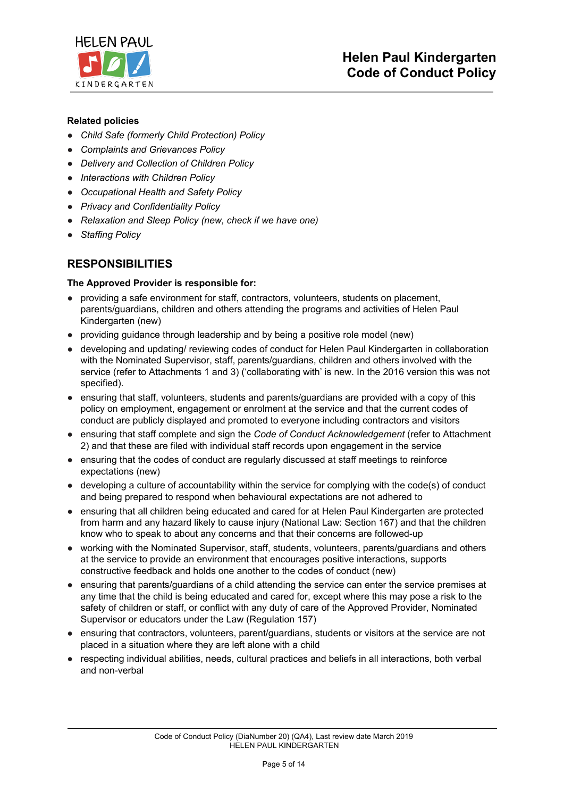

### **Related policies**

- *Child Safe (formerly Child Protection) Policy*
- *Complaints and Grievances Policy*
- *Delivery and Collection of Children Policy*
- *Interactions with Children Policy*
- *Occupational Health and Safety Policy*
- *Privacy and Confidentiality Policy*
- *Relaxation and Sleep Policy (new, check if we have one)*
- *Staffing Policy*

## **RESPONSIBILITIES**

#### **The Approved Provider is responsible for:**

- providing a safe environment for staff, contractors, volunteers, students on placement, parents/guardians, children and others attending the programs and activities of Helen Paul Kindergarten (new)
- providing guidance through leadership and by being a positive role model (new)
- developing and updating/ reviewing codes of conduct for Helen Paul Kindergarten in collaboration with the Nominated Supervisor, staff, parents/guardians, children and others involved with the service (refer to Attachments 1 and 3) ('collaborating with' is new. In the 2016 version this was not specified).
- ensuring that staff, volunteers, students and parents/guardians are provided with a copy of this policy on employment, engagement or enrolment at the service and that the current codes of conduct are publicly displayed and promoted to everyone including contractors and visitors
- ensuring that staff complete and sign the *Code of Conduct Acknowledgement* (refer to Attachment 2) and that these are filed with individual staff records upon engagement in the service
- ensuring that the codes of conduct are regularly discussed at staff meetings to reinforce expectations (new)
- developing a culture of accountability within the service for complying with the code(s) of conduct and being prepared to respond when behavioural expectations are not adhered to
- ensuring that all children being educated and cared for at Helen Paul Kindergarten are protected from harm and any hazard likely to cause injury (National Law: Section 167) and that the children know who to speak to about any concerns and that their concerns are followed-up
- working with the Nominated Supervisor, staff, students, volunteers, parents/guardians and others at the service to provide an environment that encourages positive interactions, supports constructive feedback and holds one another to the codes of conduct (new)
- ensuring that parents/guardians of a child attending the service can enter the service premises at any time that the child is being educated and cared for, except where this may pose a risk to the safety of children or staff, or conflict with any duty of care of the Approved Provider, Nominated Supervisor or educators under the Law (Regulation 157)
- ensuring that contractors, volunteers, parent/guardians, students or visitors at the service are not placed in a situation where they are left alone with a child
- respecting individual abilities, needs, cultural practices and beliefs in all interactions, both verbal and non-verbal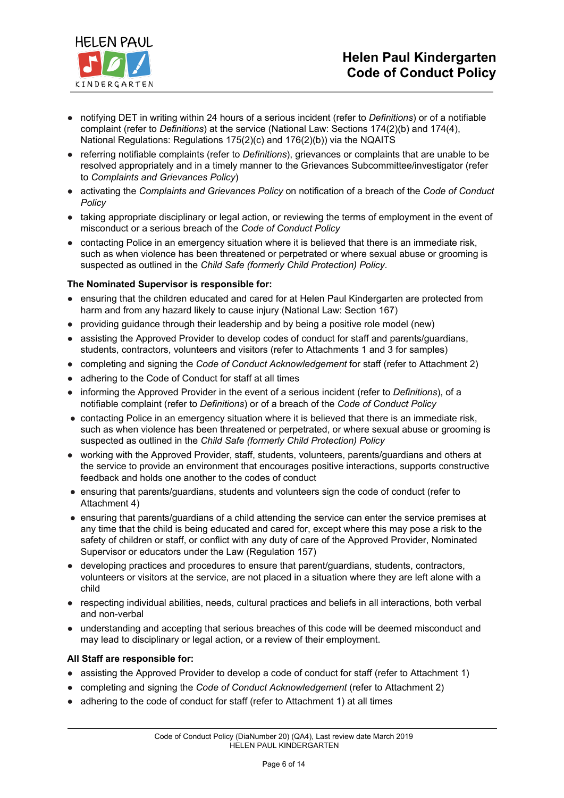

- notifying DET in writing within 24 hours of a serious incident (refer to *Definitions*) or of a notifiable complaint (refer to *Definitions*) at the service (National Law: Sections 174(2)(b) and 174(4), National Regulations: Regulations 175(2)(c) and 176(2)(b)) via the NQAITS
- referring notifiable complaints (refer to *Definitions*), grievances or complaints that are unable to be resolved appropriately and in a timely manner to the Grievances Subcommittee/investigator (refer to *Complaints and Grievances Policy*)
- activating the *Complaints and Grievances Policy* on notification of a breach of the *Code of Conduct Policy*
- taking appropriate disciplinary or legal action, or reviewing the terms of employment in the event of misconduct or a serious breach of the *Code of Conduct Policy*
- contacting Police in an emergency situation where it is believed that there is an immediate risk, such as when violence has been threatened or perpetrated or where sexual abuse or grooming is suspected as outlined in the *Child Safe (formerly Child Protection) Policy*.

#### **The Nominated Supervisor is responsible for:**

- ensuring that the children educated and cared for at Helen Paul Kindergarten are protected from harm and from any hazard likely to cause injury (National Law: Section 167)
- providing guidance through their leadership and by being a positive role model (new)
- assisting the Approved Provider to develop codes of conduct for staff and parents/guardians, students, contractors, volunteers and visitors (refer to Attachments 1 and 3 for samples)
- completing and signing the *Code of Conduct Acknowledgement* for staff (refer to Attachment 2)
- adhering to the Code of Conduct for staff at all times
- informing the Approved Provider in the event of a serious incident (refer to *Definitions*), of a notifiable complaint (refer to *Definitions*) or of a breach of the *Code of Conduct Policy*
- contacting Police in an emergency situation where it is believed that there is an immediate risk, such as when violence has been threatened or perpetrated, or where sexual abuse or grooming is suspected as outlined in the *Child Safe (formerly Child Protection) Policy*
- working with the Approved Provider, staff, students, volunteers, parents/guardians and others at the service to provide an environment that encourages positive interactions, supports constructive feedback and holds one another to the codes of conduct
- ensuring that parents/guardians, students and volunteers sign the code of conduct (refer to Attachment 4)
- ensuring that parents/guardians of a child attending the service can enter the service premises at any time that the child is being educated and cared for, except where this may pose a risk to the safety of children or staff, or conflict with any duty of care of the Approved Provider, Nominated Supervisor or educators under the Law (Regulation 157)
- developing practices and procedures to ensure that parent/guardians, students, contractors, volunteers or visitors at the service, are not placed in a situation where they are left alone with a child
- respecting individual abilities, needs, cultural practices and beliefs in all interactions, both verbal and non-verbal
- understanding and accepting that serious breaches of this code will be deemed misconduct and may lead to disciplinary or legal action, or a review of their employment.

#### **All Staff are responsible for:**

- assisting the Approved Provider to develop a code of conduct for staff (refer to Attachment 1)
- completing and signing the *Code of Conduct Acknowledgement* (refer to Attachment 2)
- adhering to the code of conduct for staff (refer to Attachment 1) at all times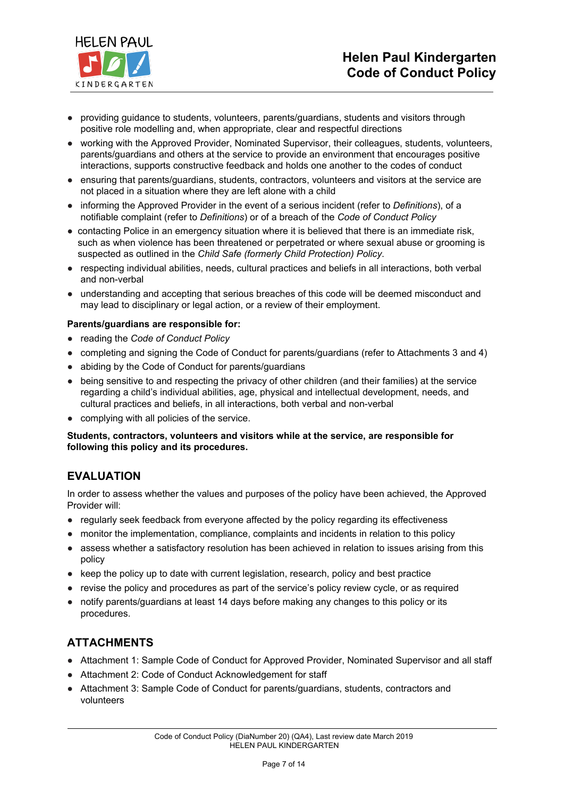

- providing guidance to students, volunteers, parents/guardians, students and visitors through positive role modelling and, when appropriate, clear and respectful directions
- working with the Approved Provider, Nominated Supervisor, their colleagues, students, volunteers, parents/guardians and others at the service to provide an environment that encourages positive interactions, supports constructive feedback and holds one another to the codes of conduct
- ensuring that parents/guardians, students, contractors, volunteers and visitors at the service are not placed in a situation where they are left alone with a child
- informing the Approved Provider in the event of a serious incident (refer to *Definitions*), of a notifiable complaint (refer to *Definitions*) or of a breach of the *Code of Conduct Policy*
- contacting Police in an emergency situation where it is believed that there is an immediate risk, such as when violence has been threatened or perpetrated or where sexual abuse or grooming is suspected as outlined in the *Child Safe (formerly Child Protection) Policy*.
- respecting individual abilities, needs, cultural practices and beliefs in all interactions, both verbal and non-verbal
- understanding and accepting that serious breaches of this code will be deemed misconduct and may lead to disciplinary or legal action, or a review of their employment.

#### **Parents/guardians are responsible for:**

- reading the *Code of Conduct Policy*
- completing and signing the Code of Conduct for parents/guardians (refer to Attachments 3 and 4)
- abiding by the Code of Conduct for parents/guardians
- being sensitive to and respecting the privacy of other children (and their families) at the service regarding a child's individual abilities, age, physical and intellectual development, needs, and cultural practices and beliefs, in all interactions, both verbal and non-verbal
- complying with all policies of the service.

#### **Students, contractors, volunteers and visitors while at the service, are responsible for following this policy and its procedures.**

# **EVALUATION**

In order to assess whether the values and purposes of the policy have been achieved, the Approved Provider will:

- regularly seek feedback from everyone affected by the policy regarding its effectiveness
- monitor the implementation, compliance, complaints and incidents in relation to this policy
- assess whether a satisfactory resolution has been achieved in relation to issues arising from this policy
- keep the policy up to date with current legislation, research, policy and best practice
- revise the policy and procedures as part of the service's policy review cycle, or as required
- notify parents/guardians at least 14 days before making any changes to this policy or its procedures.

# **ATTACHMENTS**

- Attachment 1: Sample Code of Conduct for Approved Provider, Nominated Supervisor and all staff
- Attachment 2: Code of Conduct Acknowledgement for staff
- Attachment 3: Sample Code of Conduct for parents/guardians, students, contractors and volunteers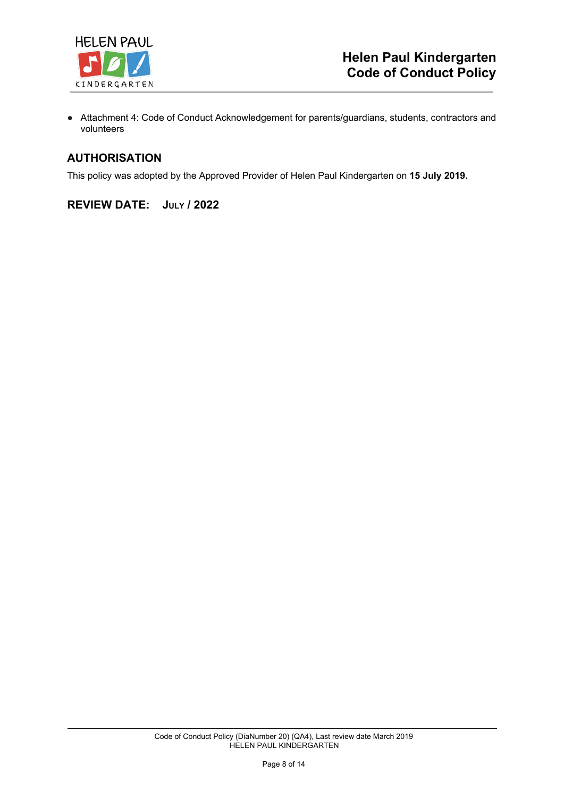

● Attachment 4: Code of Conduct Acknowledgement for parents/guardians, students, contractors and volunteers

## **AUTHORISATION**

This policy was adopted by the Approved Provider of Helen Paul Kindergarten on **15 July 2019.**

## **REVIEW DATE: JULY / 2022**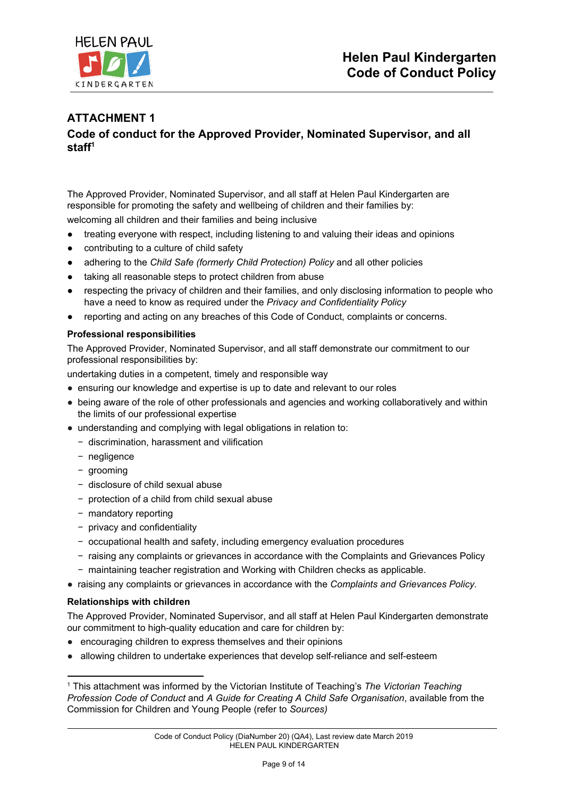

# **ATTACHMENT 1 Code of conduct for the Approved Provider, Nominated Supervisor, and all staff<sup>1</sup>**

The Approved Provider, Nominated Supervisor, and all staff at Helen Paul Kindergarten are responsible for promoting the safety and wellbeing of children and their families by: welcoming all children and their families and being inclusive

- treating everyone with respect, including listening to and valuing their ideas and opinions
- contributing to a culture of child safety
- adhering to the *Child Safe (formerly Child Protection) Policy* and all other policies
- taking all reasonable steps to protect children from abuse
- respecting the privacy of children and their families, and only disclosing information to people who have a need to know as required under the *Privacy and Confidentiality Policy*
- reporting and acting on any breaches of this Code of Conduct, complaints or concerns.

#### **Professional responsibilities**

The Approved Provider, Nominated Supervisor, and all staff demonstrate our commitment to our professional responsibilities by:

undertaking duties in a competent, timely and responsible way

- ensuring our knowledge and expertise is up to date and relevant to our roles
- being aware of the role of other professionals and agencies and working collaboratively and within the limits of our professional expertise
- understanding and complying with legal obligations in relation to:
	- − discrimination, harassment and vilification
	- − negligence
	- − grooming
	- − disclosure of child sexual abuse
	- − protection of a child from child sexual abuse
	- − mandatory reporting
	- − privacy and confidentiality
	- − occupational health and safety, including emergency evaluation procedures
	- − raising any complaints or grievances in accordance with the Complaints and Grievances Policy
	- − maintaining teacher registration and Working with Children checks as applicable.
- raising any complaints or grievances in accordance with the *Complaints and Grievances Policy.*

#### **Relationships with children**

The Approved Provider, Nominated Supervisor, and all staff at Helen Paul Kindergarten demonstrate our commitment to high-quality education and care for children by:

- encouraging children to express themselves and their opinions
- allowing children to undertake experiences that develop self-reliance and self-esteem

<sup>1</sup> This attachment was informed by the Victorian Institute of Teaching's *The Victorian Teaching Profession Code of Conduct* and *A Guide for Creating A Child Safe Organisation*, available from the Commission for Children and Young People (refer to *Sources)*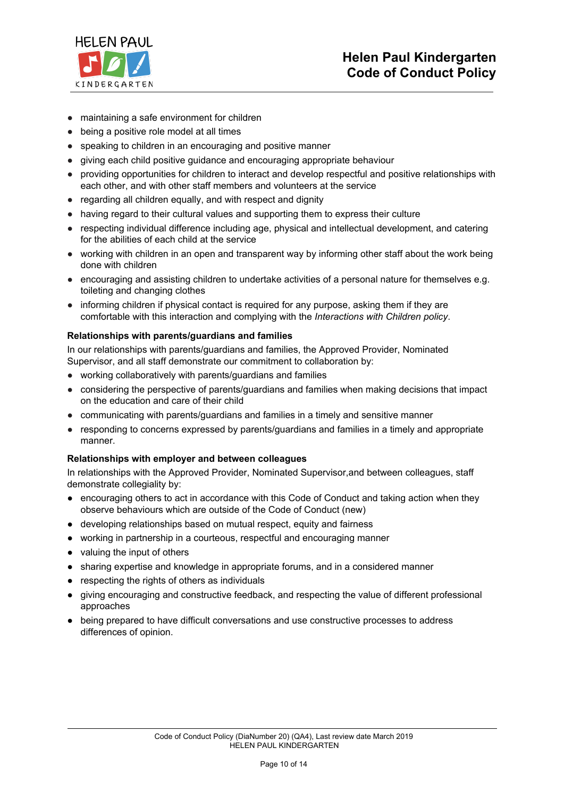

- maintaining a safe environment for children
- being a positive role model at all times
- speaking to children in an encouraging and positive manner
- giving each child positive guidance and encouraging appropriate behaviour
- providing opportunities for children to interact and develop respectful and positive relationships with each other, and with other staff members and volunteers at the service
- regarding all children equally, and with respect and dignity
- having regard to their cultural values and supporting them to express their culture
- respecting individual difference including age, physical and intellectual development, and catering for the abilities of each child at the service
- working with children in an open and transparent way by informing other staff about the work being done with children
- encouraging and assisting children to undertake activities of a personal nature for themselves e.g. toileting and changing clothes
- informing children if physical contact is required for any purpose, asking them if they are comfortable with this interaction and complying with the *Interactions with Children policy*.

#### **Relationships with parents/guardians and families**

In our relationships with parents/guardians and families, the Approved Provider, Nominated Supervisor, and all staff demonstrate our commitment to collaboration by:

- working collaboratively with parents/guardians and families
- considering the perspective of parents/guardians and families when making decisions that impact on the education and care of their child
- communicating with parents/quardians and families in a timely and sensitive manner
- responding to concerns expressed by parents/guardians and families in a timely and appropriate manner.

#### **Relationships with employer and between colleagues**

In relationships with the Approved Provider, Nominated Supervisor,and between colleagues, staff demonstrate collegiality by:

- encouraging others to act in accordance with this Code of Conduct and taking action when they observe behaviours which are outside of the Code of Conduct (new)
- developing relationships based on mutual respect, equity and fairness
- working in partnership in a courteous, respectful and encouraging manner
- valuing the input of others
- sharing expertise and knowledge in appropriate forums, and in a considered manner
- respecting the rights of others as individuals
- giving encouraging and constructive feedback, and respecting the value of different professional approaches
- being prepared to have difficult conversations and use constructive processes to address differences of opinion.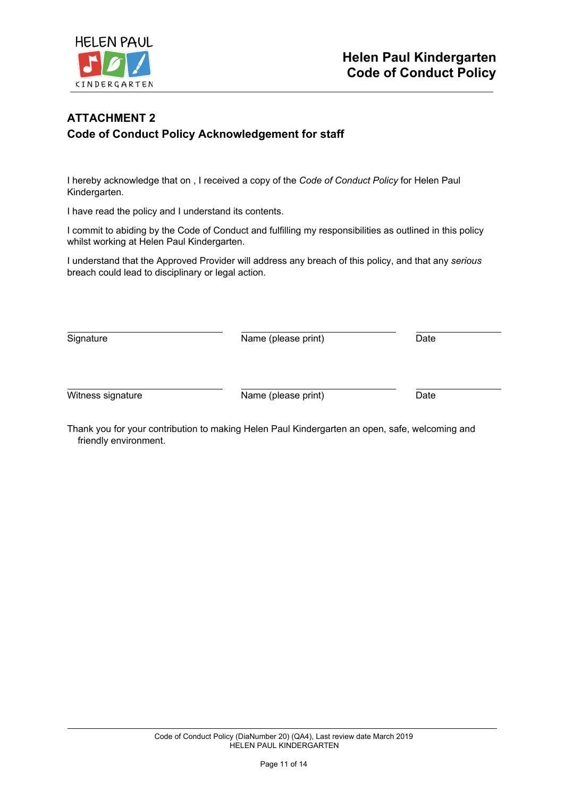

# **ATTACHMENT 2 Code of Conduct Policy Acknowledgement for staff**

I hereby acknowledge that on , I received a copy of the *Code of Conduct Policy* for Helen Paul Kindergarten.

I have read the policy and I understand its contents.

I commit to abiding by the Code of Conduct and fulfilling my responsibilities as outlined in this policy whilst working at Helen Paul Kindergarten.

I understand that the Approved Provider will address any breach of this policy, and that any *serious* breach could lead to disciplinary or legal action.

Signature **Name** (please print) Date Witness signature Mame (please print) Date

Thank you for your contribution to making Helen Paul Kindergarten an open, safe, welcoming and friendly environment.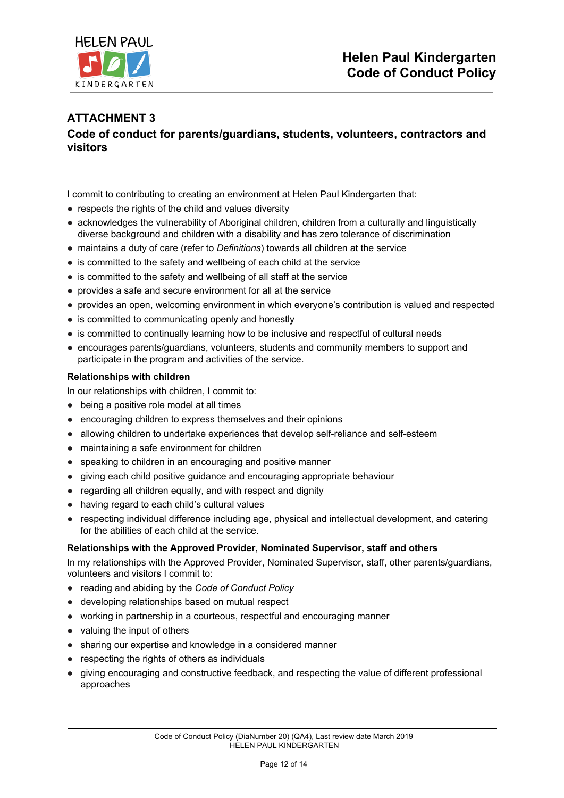

# **ATTACHMENT 3 Code of conduct for parents/guardians, students, volunteers, contractors and visitors**

I commit to contributing to creating an environment at Helen Paul Kindergarten that:

- respects the rights of the child and values diversity
- acknowledges the vulnerability of Aboriginal children, children from a culturally and linguistically diverse background and children with a disability and has zero tolerance of discrimination
- maintains a duty of care (refer to *Definitions*) towards all children at the service
- is committed to the safety and wellbeing of each child at the service
- is committed to the safety and wellbeing of all staff at the service
- provides a safe and secure environment for all at the service
- provides an open, welcoming environment in which everyone's contribution is valued and respected
- is committed to communicating openly and honestly
- is committed to continually learning how to be inclusive and respectful of cultural needs
- encourages parents/guardians, volunteers, students and community members to support and participate in the program and activities of the service.

#### **Relationships with children**

In our relationships with children, I commit to:

- being a positive role model at all times
- encouraging children to express themselves and their opinions
- allowing children to undertake experiences that develop self-reliance and self-esteem
- maintaining a safe environment for children
- speaking to children in an encouraging and positive manner
- giving each child positive guidance and encouraging appropriate behaviour
- regarding all children equally, and with respect and dignity
- having regard to each child's cultural values
- respecting individual difference including age, physical and intellectual development, and catering for the abilities of each child at the service.

#### **Relationships with the Approved Provider, Nominated Supervisor, staff and others**

In my relationships with the Approved Provider, Nominated Supervisor, staff, other parents/guardians, volunteers and visitors I commit to:

- reading and abiding by the *Code of Conduct Policy*
- developing relationships based on mutual respect
- working in partnership in a courteous, respectful and encouraging manner
- valuing the input of others
- sharing our expertise and knowledge in a considered manner
- respecting the rights of others as individuals
- giving encouraging and constructive feedback, and respecting the value of different professional approaches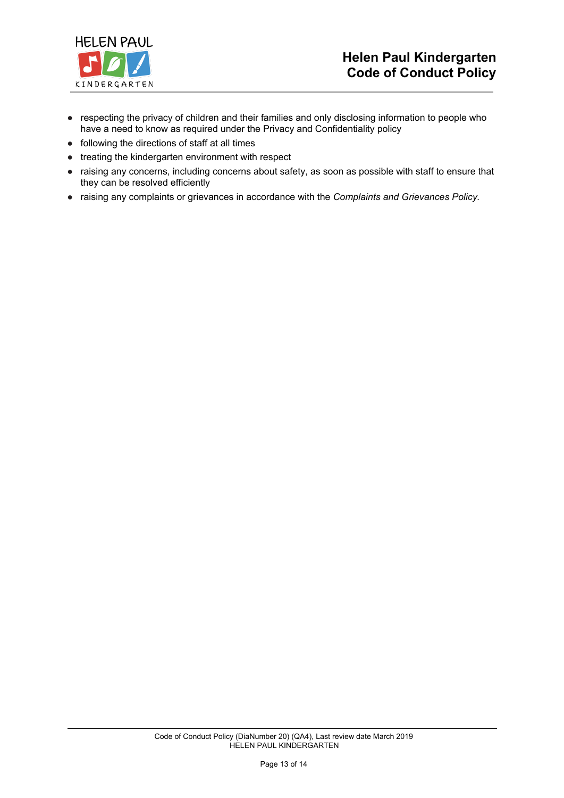

- respecting the privacy of children and their families and only disclosing information to people who have a need to know as required under the Privacy and Confidentiality policy
- following the directions of staff at all times
- treating the kindergarten environment with respect
- raising any concerns, including concerns about safety, as soon as possible with staff to ensure that they can be resolved efficiently
- raising any complaints or grievances in accordance with the *Complaints and Grievances Policy.*